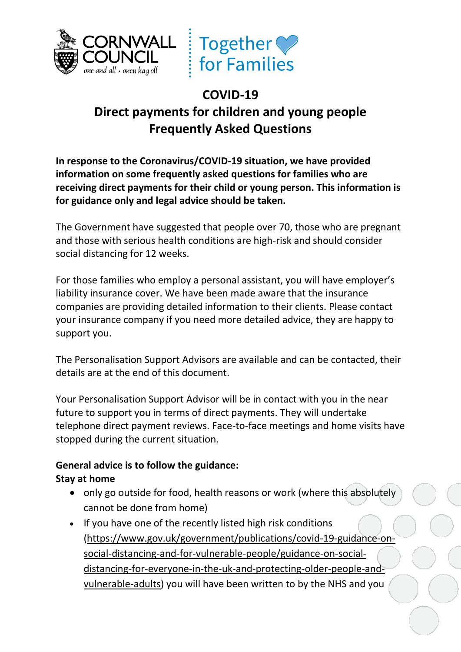



# **COVID-19 Direct payments for children and young people Frequently Asked Questions**

**In response to the Coronavirus/COVID-19 situation, we have provided information on some frequently asked questions for families who are receiving direct payments for their child or young person. This information is for guidance only and legal advice should be taken.**

The Government have suggested that people over 70, those who are pregnant and those with serious health conditions are high-risk and should consider social distancing for 12 weeks.

For those families who employ a personal assistant, you will have employer's liability insurance cover. We have been made aware that the insurance companies are providing detailed information to their clients. Please contact your insurance company if you need more detailed advice, they are happy to support you.

The Personalisation Support Advisors are available and can be contacted, their details are at the end of this document.

Your Personalisation Support Advisor will be in contact with you in the near future to support you in terms of direct payments. They will undertake telephone direct payment reviews. Face-to-face meetings and home visits have stopped during the current situation.

# **General advice is to follow the guidance:**

## **Stay at home**

- only go outside for food, health reasons or work (where this absolutely cannot be done from home)
- If you have one of the recently listed high risk conditions [\(https://www.gov.uk/government/publications/covid-19-guidance-on](https://www.gov.uk/government/publications/covid-19-guidance-on-social-distancing-and-for-vulnerable-people/guidance-on-social-distancing-for-everyone-in-the-uk-and-protecting-older-people-and-vulnerable-adults)[social-distancing-and-for-vulnerable-people/guidance-on-social](https://www.gov.uk/government/publications/covid-19-guidance-on-social-distancing-and-for-vulnerable-people/guidance-on-social-distancing-for-everyone-in-the-uk-and-protecting-older-people-and-vulnerable-adults)[distancing-for-everyone-in-the-uk-and-protecting-older-people-and](https://www.gov.uk/government/publications/covid-19-guidance-on-social-distancing-and-for-vulnerable-people/guidance-on-social-distancing-for-everyone-in-the-uk-and-protecting-older-people-and-vulnerable-adults)[vulnerable-adults\)](https://www.gov.uk/government/publications/covid-19-guidance-on-social-distancing-and-for-vulnerable-people/guidance-on-social-distancing-for-everyone-in-the-uk-and-protecting-older-people-and-vulnerable-adults) you will have been written to by the NHS and you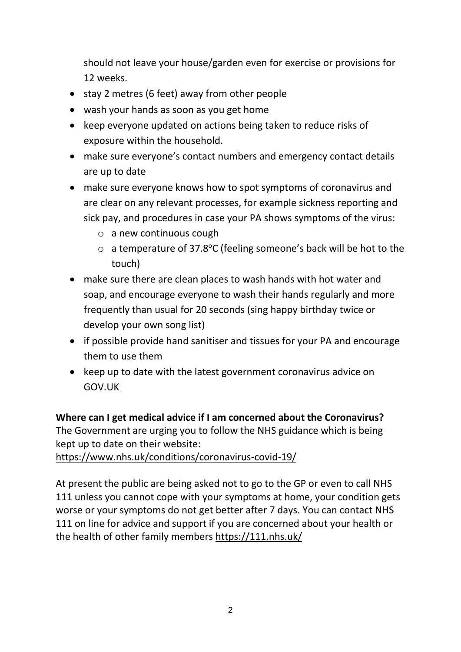should not leave your house/garden even for exercise or provisions for 12 weeks.

- stay 2 metres (6 feet) away from other people
- wash your hands as soon as you get home
- keep everyone updated on actions being taken to reduce risks of exposure within the household.
- make sure everyone's contact numbers and emergency contact details are up to date
- make sure everyone knows how to spot symptoms of coronavirus and are clear on any relevant processes, for example sickness reporting and sick pay, and procedures in case your PA shows symptoms of the virus:
	- o a new continuous cough
	- $\circ$  a temperature of 37.8°C (feeling someone's back will be hot to the touch)
- make sure there are clean places to wash hands with hot water and soap, and encourage everyone to wash their hands regularly and more frequently than usual for 20 seconds (sing happy birthday twice or develop your own song list)
- if possible provide hand sanitiser and tissues for your PA and encourage them to use them
- keep up to date with the latest government coronavirus advice on GOV.UK

## **Where can I get medical advice if I am concerned about the Coronavirus?**

The Government are urging you to follow the NHS guidance which is being kept up to date on their website:

<https://www.nhs.uk/conditions/coronavirus-covid-19/>

At present the public are being asked not to go to the GP or even to call NHS 111 unless you cannot cope with your symptoms at home, your condition gets worse or your symptoms do not get better after 7 days. You can contact NHS 111 on line for advice and support if you are concerned about your health or the health of other family members<https://111.nhs.uk/>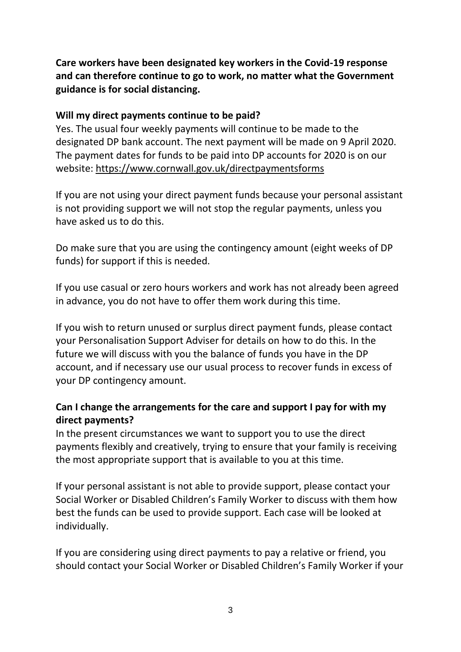**Care workers have been designated key workers in the Covid-19 response and can therefore continue to go to work, no matter what the Government guidance is for social distancing.** 

#### **Will my direct payments continue to be paid?**

Yes. The usual four weekly payments will continue to be made to the designated DP bank account. The next payment will be made on 9 April 2020. The payment dates for funds to be paid into DP accounts for 2020 is on our website: [https://www.cornwall.gov.uk/directpaymentsforms](https://eur03.safelinks.protection.outlook.com/?url=https%3A%2F%2Fwww.cornwall.gov.uk%2Fdirectpaymentsforms&data=02%7C01%7Calan.anderson%40cornwall.gov.uk%7C038254526c2b47b993ca08d7ccf7cdf7%7Cefaa16aad1de4d58ba2e2833fdfdd29f%7C0%7C0%7C637203236993564170&sdata=ubl1P8No%2FQxhtroe0MqmQZJF2mkQD0y4sHOx0kjBWII%3D&reserved=0)

If you are not using your direct payment funds because your personal assistant is not providing support we will not stop the regular payments, unless you have asked us to do this.

Do make sure that you are using the contingency amount (eight weeks of DP funds) for support if this is needed.

If you use casual or zero hours workers and work has not already been agreed in advance, you do not have to offer them work during this time.

If you wish to return unused or surplus direct payment funds, please contact your Personalisation Support Adviser for details on how to do this. In the future we will discuss with you the balance of funds you have in the DP account, and if necessary use our usual process to recover funds in excess of your DP contingency amount.

## **Can I change the arrangements for the care and support I pay for with my direct payments?**

In the present circumstances we want to support you to use the direct payments flexibly and creatively, trying to ensure that your family is receiving the most appropriate support that is available to you at this time.

If your personal assistant is not able to provide support, please contact your Social Worker or Disabled Children's Family Worker to discuss with them how best the funds can be used to provide support. Each case will be looked at individually.

If you are considering using direct payments to pay a relative or friend, you should contact your Social Worker or Disabled Children's Family Worker if your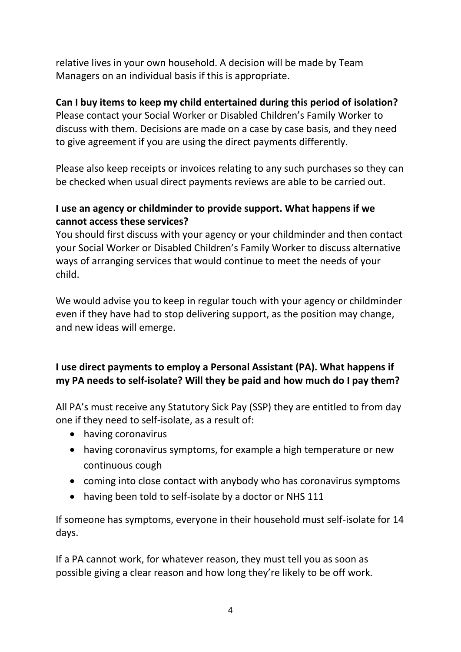relative lives in your own household. A decision will be made by Team Managers on an individual basis if this is appropriate.

## **Can I buy items to keep my child entertained during this period of isolation?**

Please contact your Social Worker or Disabled Children's Family Worker to discuss with them. Decisions are made on a case by case basis, and they need to give agreement if you are using the direct payments differently.

Please also keep receipts or invoices relating to any such purchases so they can be checked when usual direct payments reviews are able to be carried out.

## **I use an agency or childminder to provide support. What happens if we cannot access these services?**

You should first discuss with your agency or your childminder and then contact your Social Worker or Disabled Children's Family Worker to discuss alternative ways of arranging services that would continue to meet the needs of your child.

We would advise you to keep in regular touch with your agency or childminder even if they have had to stop delivering support, as the position may change, and new ideas will emerge.

## **I use direct payments to employ a Personal Assistant (PA). What happens if my PA needs to self-isolate? Will they be paid and how much do I pay them?**

All PA's must receive any Statutory Sick Pay (SSP) they are entitled to from day one if they need to self-isolate, as a result of:

- having coronavirus
- having coronavirus symptoms, for example a high temperature or new continuous cough
- coming into close contact with anybody who has coronavirus symptoms
- having been told to self-isolate by a doctor or NHS 111

If someone has symptoms, everyone in their household must self-isolate for 14 days.

If a PA cannot work, for whatever reason, they must tell you as soon as possible giving a clear reason and how long they're likely to be off work.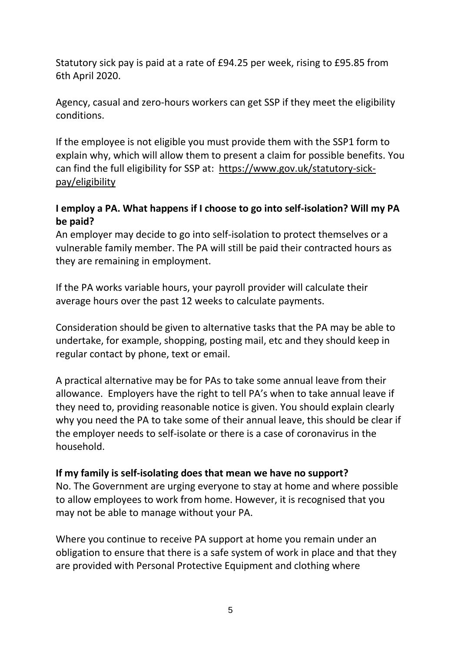Statutory sick pay is paid at a rate of £94.25 per week, rising to £95.85 from 6th April 2020.

Agency, casual and zero-hours workers can get SSP if they meet the eligibility conditions.

If the employee is not eligible you must provide them with the SSP1 form to explain why, which will allow them to present a claim for possible benefits. You can find the full eligibility for SSP at: [https://www.gov.uk/statutory-sick](https://eur03.safelinks.protection.outlook.com/?url=https%3A%2F%2Fwww.gov.uk%2Fstatutory-sick-pay%2Feligibility&data=02%7C01%7Calan.anderson%40cornwall.gov.uk%7C038254526c2b47b993ca08d7ccf7cdf7%7Cefaa16aad1de4d58ba2e2833fdfdd29f%7C0%7C0%7C637203236993554193&sdata=Xh3KAqBoEIfP25tna2Tkdpz0c7%2FFs7wLoMDr7M5bWyo%3D&reserved=0)[pay/eligibility](https://eur03.safelinks.protection.outlook.com/?url=https%3A%2F%2Fwww.gov.uk%2Fstatutory-sick-pay%2Feligibility&data=02%7C01%7Calan.anderson%40cornwall.gov.uk%7C038254526c2b47b993ca08d7ccf7cdf7%7Cefaa16aad1de4d58ba2e2833fdfdd29f%7C0%7C0%7C637203236993554193&sdata=Xh3KAqBoEIfP25tna2Tkdpz0c7%2FFs7wLoMDr7M5bWyo%3D&reserved=0)

## **I employ a PA. What happens if I choose to go into self-isolation? Will my PA be paid?**

An employer may decide to go into self-isolation to protect themselves or a vulnerable family member. The PA will still be paid their contracted hours as they are remaining in employment.

If the PA works variable hours, your payroll provider will calculate their average hours over the past 12 weeks to calculate payments.

Consideration should be given to alternative tasks that the PA may be able to undertake, for example, shopping, posting mail, etc and they should keep in regular contact by phone, text or email.

A practical alternative may be for PAs to take some annual leave from their allowance. Employers have the right to tell PA's when to take annual leave if they need to, providing reasonable notice is given. You should explain clearly why you need the PA to take some of their annual leave, this should be clear if the employer needs to self-isolate or there is a case of coronavirus in the household.

## **If my family is self-isolating does that mean we have no support?**

No. The Government are urging everyone to stay at home and where possible to allow employees to work from home. However, it is recognised that you may not be able to manage without your PA.

Where you continue to receive PA support at home you remain under an obligation to ensure that there is a safe system of work in place and that they are provided with Personal Protective Equipment and clothing where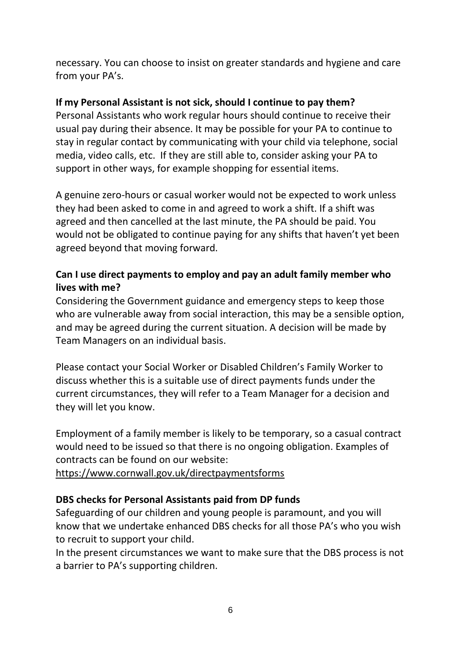necessary. You can choose to insist on greater standards and hygiene and care from your PA's.

## **If my Personal Assistant is not sick, should I continue to pay them?**

Personal Assistants who work regular hours should continue to receive their usual pay during their absence. It may be possible for your PA to continue to stay in regular contact by communicating with your child via telephone, social media, video calls, etc. If they are still able to, consider asking your PA to support in other ways, for example shopping for essential items.

A genuine zero-hours or casual worker would not be expected to work unless they had been asked to come in and agreed to work a shift. If a shift was agreed and then cancelled at the last minute, the PA should be paid. You would not be obligated to continue paying for any shifts that haven't yet been agreed beyond that moving forward.

## **Can I use direct payments to employ and pay an adult family member who lives with me?**

Considering the Government guidance and emergency steps to keep those who are vulnerable away from social interaction, this may be a sensible option, and may be agreed during the current situation. A decision will be made by Team Managers on an individual basis.

Please contact your Social Worker or Disabled Children's Family Worker to discuss whether this is a suitable use of direct payments funds under the current circumstances, they will refer to a Team Manager for a decision and they will let you know.

Employment of a family member is likely to be temporary, so a casual contract would need to be issued so that there is no ongoing obligation. Examples of contracts can be found on our website:

[https://www.cornwall.gov.uk/directpaymentsforms](https://eur03.safelinks.protection.outlook.com/?url=https%3A%2F%2Fwww.cornwall.gov.uk%2Fdirectpaymentsforms&data=02%7C01%7Calan.anderson%40cornwall.gov.uk%7C038254526c2b47b993ca08d7ccf7cdf7%7Cefaa16aad1de4d58ba2e2833fdfdd29f%7C0%7C0%7C637203236993564170&sdata=ubl1P8No%2FQxhtroe0MqmQZJF2mkQD0y4sHOx0kjBWII%3D&reserved=0)

## **DBS checks for Personal Assistants paid from DP funds**

Safeguarding of our children and young people is paramount, and you will know that we undertake enhanced DBS checks for all those PA's who you wish to recruit to support your child.

In the present circumstances we want to make sure that the DBS process is not a barrier to PA's supporting children.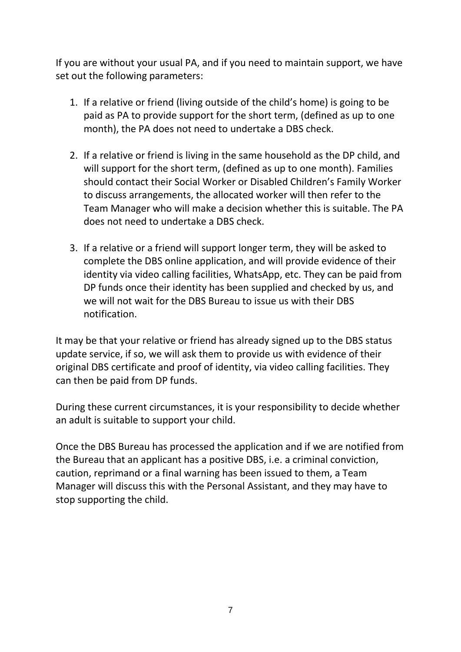If you are without your usual PA, and if you need to maintain support, we have set out the following parameters:

- 1. If a relative or friend (living outside of the child's home) is going to be paid as PA to provide support for the short term, (defined as up to one month), the PA does not need to undertake a DBS check.
- 2. If a relative or friend is living in the same household as the DP child, and will support for the short term, (defined as up to one month). Families should contact their Social Worker or Disabled Children's Family Worker to discuss arrangements, the allocated worker will then refer to the Team Manager who will make a decision whether this is suitable. The PA does not need to undertake a DBS check.
- 3. If a relative or a friend will support longer term, they will be asked to complete the DBS online application, and will provide evidence of their identity via video calling facilities, WhatsApp, etc. They can be paid from DP funds once their identity has been supplied and checked by us, and we will not wait for the DBS Bureau to issue us with their DBS notification.

It may be that your relative or friend has already signed up to the DBS status update service, if so, we will ask them to provide us with evidence of their original DBS certificate and proof of identity, via video calling facilities. They can then be paid from DP funds.

During these current circumstances, it is your responsibility to decide whether an adult is suitable to support your child.

Once the DBS Bureau has processed the application and if we are notified from the Bureau that an applicant has a positive DBS, i.e. a criminal conviction, caution, reprimand or a final warning has been issued to them, a Team Manager will discuss this with the Personal Assistant, and they may have to stop supporting the child.